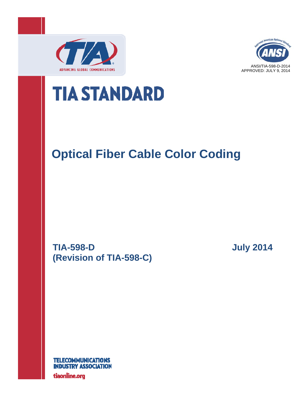





# **Optical Fiber Cable Color Coding**

**TIA-598-D (Revision of TIA-598-C)**  **July 2014**

**TELECOMMUNICATIONS INDUSTRY ASSOCIATION** 

tiaonline.org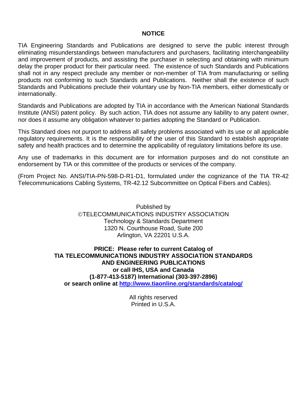## **NOTICE**

TIA Engineering Standards and Publications are designed to serve the public interest through eliminating misunderstandings between manufacturers and purchasers, facilitating interchangeability and improvement of products, and assisting the purchaser in selecting and obtaining with minimum delay the proper product for their particular need. The existence of such Standards and Publications shall not in any respect preclude any member or non-member of TIA from manufacturing or selling products not conforming to such Standards and Publications. Neither shall the existence of such Standards and Publications preclude their voluntary use by Non-TIA members, either domestically or internationally.

Standards and Publications are adopted by TIA in accordance with the American National Standards Institute (ANSI) patent policy. By such action, TIA does not assume any liability to any patent owner, nor does it assume any obligation whatever to parties adopting the Standard or Publication.

This Standard does not purport to address all safety problems associated with its use or all applicable regulatory requirements. It is the responsibility of the user of this Standard to establish appropriate safety and health practices and to determine the applicability of regulatory limitations before its use.

Any use of trademarks in this document are for information purposes and do not constitute an endorsement by TIA or this committee of the products or services of the company.

(From Project No. ANSI/TIA-PN-598-D-R1-D1, formulated under the cognizance of the TIA TR-42 Telecommunications Cabling Systems, TR-42.12 Subcommittee on Optical Fibers and Cables).

> Published by TELECOMMUNICATIONS INDUSTRY ASSOCIATION Technology & Standards Department 1320 N. Courthouse Road, Suite 200 Arlington, VA 22201 U.S.A.

**PRICE: Please refer to current Catalog of TIA TELECOMMUNICATIONS INDUSTRY ASSOCIATION STANDARDS AND ENGINEERING PUBLICATIONS or call IHS, USA and Canada (1-877-413-5187) International (303-397-2896) or search online at http://www.tiaonline.org/standards/catalog/**

> All rights reserved Printed in U.S.A.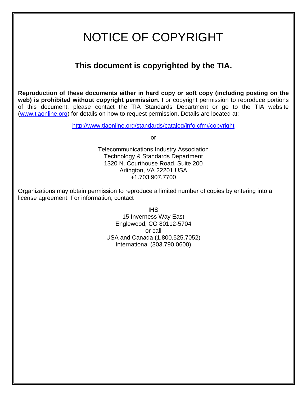# NOTICE OF COPYRIGHT

## **This document is copyrighted by the TIA.**

**Reproduction of these documents either in hard copy or soft copy (including posting on the web) is prohibited without copyright permission.** For copyright permission to reproduce portions of this document, please contact the TIA Standards Department or go to the TIA website (www.tiaonline.org) for details on how to request permission. Details are located at:

http://www.tiaonline.org/standards/catalog/info.cfm#copyright

or

Telecommunications Industry Association Technology & Standards Department 1320 N. Courthouse Road, Suite 200 Arlington, VA 22201 USA +1.703.907.7700

Organizations may obtain permission to reproduce a limited number of copies by entering into a license agreement. For information, contact

> IHS 15 Inverness Way East Englewood, CO 80112-5704 or call USA and Canada (1.800.525.7052) International (303.790.0600)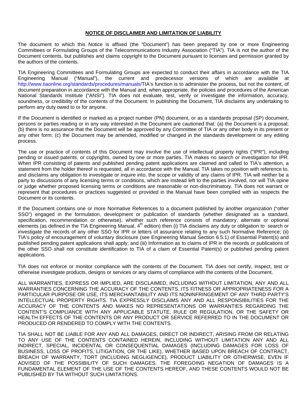#### **NOTICE OF DISCLAIMER AND LIMITATION OF LIABILITY**

The document to which this Notice is affixed (the "Document") has been prepared by one or more Engineering Committees or Formulating Groups of the Telecommunications Industry Association ("TIA"). TIA is not the author of the Document contents, but publishes and claims copyright to the Document pursuant to licenses and permission granted by the authors of the contents.

TIA Engineering Committees and Formulating Groups are expected to conduct their affairs in accordance with the TIA Engineering Manual ("Manual"), the current and predecessor versions of which are available at http://www.tiaonline.org/standards/procedures/manuals/TIA's function is to administer the process, but not the content, of document preparation in accordance with the Manual and, when appropriate, the policies and procedures of the American National Standards Institute ("ANSI"). TIA does not evaluate, test, verify or investigate the information, accuracy, soundness, or credibility of the contents of the Document. In publishing the Document, TIA disclaims any undertaking to perform any duty owed to or for anyone.

If the Document is identified or marked as a project number (PN) document, or as a standards proposal (SP) document, persons or parties reading or in any way interested in the Document are cautioned that: (a) the Document is a proposal; (b) there is no assurance that the Document will be approved by any Committee of TIA or any other body in its present or any other form; (c) the Document may be amended, modified or changed in the standards development or any editing process.

The use or practice of contents of this Document may involve the use of intellectual property rights ("IPR"), including pending or issued patents, or copyrights, owned by one or more parties. TIA makes no search or investigation for IPR. When IPR consisting of patents and published pending patent applications are claimed and called to TIA's attention, a statement from the holder thereof is requested, all in accordance with the Manual. TIA takes no position with reference to, and disclaims any obligation to investigate or inquire into, the scope or validity of any claims of IPR. TIA will neither be a party to discussions of any licensing terms or conditions, which are instead left to the parties involved, nor will TIA opine or judge whether proposed licensing terms or conditions are reasonable or non-discriminatory. TIA does not warrant or represent that procedures or practices suggested or provided in the Manual have been complied with as respects the Document or its contents.

If the Document contains one or more Normative References to a document published by another organization ("other SSO") engaged in the formulation, development or publication of standards (whether designated as a standard, specification, recommendation or otherwise), whether such reference consists of mandatory, alternate or optional elements (as defined in the TIA Engineering Manual, 4<sup>th</sup> edition) then (i) TIA disclaims any duty or obligation to search or investigate the records of any other SSO for IPR or letters of assurance relating to any such Normative Reference; (ii) TIA's policy of encouragement of voluntary disclosure (see Engineering Manual Section 6.5.1) of Essential Patent(s) and published pending patent applications shall apply; and (iii) Information as to claims of IPR in the records or publications of the other SSO shall not constitute identification to TIA of a claim of Essential Patent(s) or published pending patent applications.

TIA does not enforce or monitor compliance with the contents of the Document. TIA does not certify, inspect, test or otherwise investigate products, designs or services or any claims of compliance with the contents of the Document.

ALL WARRANTIES, EXPRESS OR IMPLIED, ARE DISCLAIMED, INCLUDING WITHOUT LIMITATION, ANY AND ALL WARRANTIES CONCERNING THE ACCURACY OF THE CONTENTS, ITS FITNESS OR APPROPRIATENESS FOR A PARTICULAR PURPOSE OR USE, ITS MERCHANTABILITY AND ITS NONINFRINGEMENT OF ANY THIRD PARTY'S INTELLECTUAL PROPERTY RIGHTS. TIA EXPRESSLY DISCLAIMS ANY AND ALL RESPONSIBILITIES FOR THE ACCURACY OF THE CONTENTS AND MAKES NO REPRESENTATIONS OR WARRANTIES REGARDING THE CONTENT'S COMPLIANCE WITH ANY APPLICABLE STATUTE, RULE OR REGULATION, OR THE SAFETY OR HEALTH EFFECTS OF THE CONTENTS OR ANY PRODUCT OR SERVICE REFERRED TO IN THE DOCUMENT OR PRODUCED OR RENDERED TO COMPLY WITH THE CONTENTS.

TIA SHALL NOT BE LIABLE FOR ANY AND ALL DAMAGES, DIRECT OR INDIRECT, ARISING FROM OR RELATING TO ANY USE OF THE CONTENTS CONTAINED HEREIN, INCLUDING WITHOUT LIMITATION ANY AND ALL INDIRECT, SPECIAL, INCIDENTAL OR CONSEQUENTIAL DAMAGES (INCLUDING DAMAGES FOR LOSS OF BUSINESS, LOSS OF PROFITS, LITIGATION, OR THE LIKE), WHETHER BASED UPON BREACH OF CONTRACT, BREACH OF WARRANTY, TORT (INCLUDING NEGLIGENCE), PRODUCT LIABILITY OR OTHERWISE, EVEN IF ADVISED OF THE POSSIBILITY OF SUCH DAMAGES. THE FOREGOING NEGATION OF DAMAGES IS A FUNDAMENTAL ELEMENT OF THE USE OF THE CONTENTS HEREOF, AND THESE CONTENTS WOULD NOT BE PUBLISHED BY TIA WITHOUT SUCH LIMITATIONS.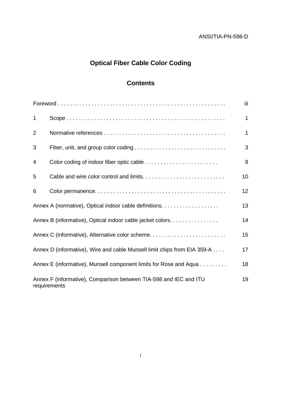## **Optical Fiber Cable Color Coding**

## **Contents**

|                |                                                                                   | iii          |
|----------------|-----------------------------------------------------------------------------------|--------------|
| $\mathbf 1$    |                                                                                   | $\mathbf{1}$ |
| $\overline{2}$ |                                                                                   | $\mathbf{1}$ |
| 3              |                                                                                   | 3            |
| 4              |                                                                                   | 8            |
| 5              |                                                                                   | 10           |
| 6              |                                                                                   | 12           |
|                | Annex A (normative), Optical indoor cable definitions.                            | 13           |
|                | Annex B (informative), Optical indoor cable jacket colors.                        | 14           |
|                |                                                                                   | 15           |
|                | Annex D (informative), Wire and cable Munsell limit chips from EIA 359-A          | 17           |
|                | Annex E (informative), Munsell component limits for Rose and Aqua                 | 18           |
|                | Annex F (informative), Comparison between TIA-598 and IEC and ITU<br>requirements | 19           |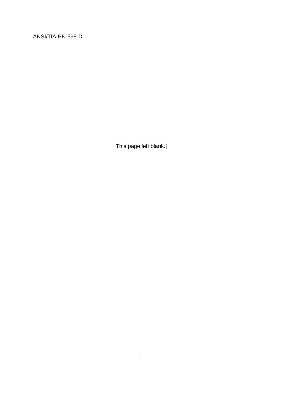[This page left blank.]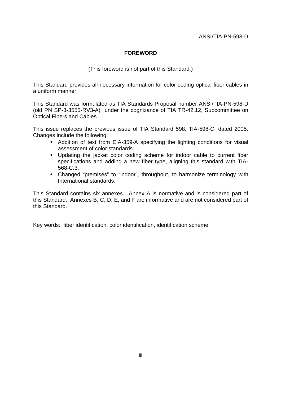## **FOREWORD**

(This foreword is not part of this Standard.)

<span id="page-8-0"></span>This Standard provides all necessary information for color coding optical fiber cables in a uniform manner.

This Standard was formulated as TIA Standards Proposal number ANSI/TIA-PN-598-D (old PN SP-3-3555-RV3-A) under the cognizance of TIA TR-42.12, Subcommittee on Optical Fibers and Cables.

This issue replaces the previous issue of TIA Standard 598, TIA-598-C, dated 2005. Changes include the following:

- Addition of text from EIA-359-A specifying the lighting conditions for visual assessment of color standards.
- Updating the jacket color coding scheme for indoor cable to current fiber specifications and adding a new fiber type, aligning this standard with TIA-568-C.3.
- Changed "premises" to "indoor", throughout, to harmonize terminology with International standards.

This Standard contains six annexes. [Annex A](#page-22-0) is normative and is considered part of this Standard. [Annexes B,](#page-23-0) [C,](#page-24-0) [D,](#page-26-0) [E,](#page-27-0) an[d F](#page-28-0) are informative and are not considered part of this Standard.

Key words: fiber identification, color identification, identification scheme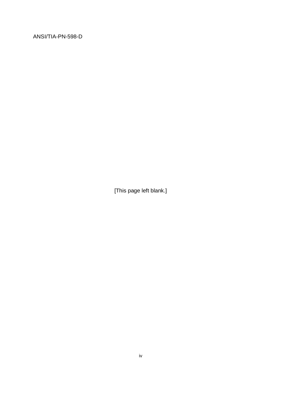[This page left blank.]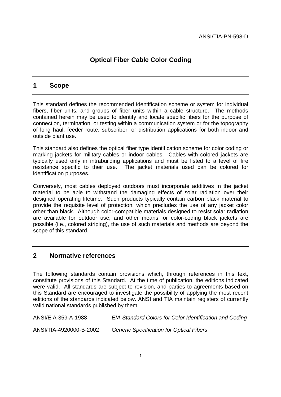## **Optical Fiber Cable Color Coding**

## <span id="page-10-0"></span>**1 Scope**

This standard defines the recommended identification scheme or system for individual fibers, fiber units, and groups of fiber units within a cable structure. The methods contained herein may be used to identify and locate specific fibers for the purpose of connection, termination, or testing within a communication system or for the topography of long haul, feeder route, subscriber, or distribution applications for both indoor and outside plant use.

This standard also defines the optical fiber type identification scheme for color coding or marking jackets for military cables or indoor cables. Cables with colored jackets are typically used only in intrabuilding applications and must be listed to a level of fire resistance specific to their use. The jacket materials used can be colored for identification purposes.

Conversely, most cables deployed outdoors must incorporate additives in the jacket material to be able to withstand the damaging effects of solar radiation over their designed operating lifetime. Such products typically contain carbon black material to provide the requisite level of protection, which precludes the use of any jacket color other than black. Although color-compatible materials designed to resist solar radiation are available for outdoor use, and other means for color-coding black jackets are possible (i.e., colored striping), the use of such materials and methods are beyond the scope of this standard.

## **2 Normative references**

The following standards contain provisions which, through references in this text, constitute provisions of this Standard. At the time of publication, the editions indicated were valid. All standards are subject to revision, and parties to agreements based on this Standard are encouraged to investigate the possibility of applying the most recent editions of the standards indicated below. ANSI and TIA maintain registers of currently valid national standards published by them.

ANSI/EIA-359-A-1988 EIA Standard Colors for Color Identification and Coding ANSI/TIA-4920000-B-2002 Generic Specification for Optical Fibers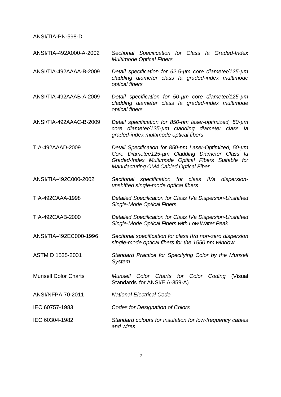ANSI/TIA-492A000-A-2002 Sectional Specification for Class Ia Graded-Index Multimode Optical Fibers

ANSI/TIA-492AAAA-B-2009 Detail specification for 62.5-µm core diameter/125-µm cladding diameter class Ia graded-index multimode optical fibers

ANSI/TIA-492AAAB-A-2009 Detail specification for 50-µm core diameter/125-µm cladding diameter class Ia graded-index multimode optical fibers

ANSI/TIA-492AAAC-B-2009 Detail specification for 850-nm laser-optimized, 50-µm core diameter/125-µm cladding diameter class Ia graded-index multimode optical fibers

TIA-492AAAD-2009 Detail Specification for 850-nm Laser-Optimized, 50-µm Core Diameter/125-µm Cladding Diameter Class Ia Graded-Index Multimode Optical Fibers Suitable for Manufacturing OM4 Cabled Optical Fiber

ANSI/TIA-492C000-2002 Sectional specification for class IVa dispersionunshifted single-mode optical fibers

TIA-492CAAA-1998 Detailed Specification for Class IVa Dispersion-Unshifted Single-Mode Optical Fibers

TIA-492CAAB-2000 Detailed Specification for Class IVa Dispersion-Unshifted Single-Mode Optical Fibers with Low Water Peak

ANSI/TIA-492EC000-1996 Sectional specification for class IVd non-zero dispersion single-mode optical fibers for the 1550 nm window

ASTM D 1535-2001 Standard Practice for Specifying Color by the Munsell **System** 

Munsell Color Charts Munsell Color Charts for Color Coding (Visual Standards for ANSI/EIA-359-A)

ANSI/NFPA 70-2011 National Electrical Code

IEC 60757-1983 Codes for Designation of Colors

IEC 60304-1982 Standard colours for insulation for low-frequency cables and wires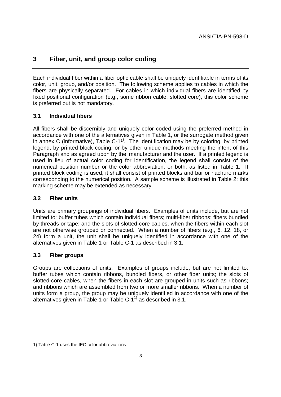## <span id="page-12-0"></span>**3 Fiber, unit, and group color coding**

Each individual fiber within a fiber optic cable shall be uniquely identifiable in terms of its color, unit, group, and/or position. The following scheme applies to cables in which the fibers are physically separated. For cables in which individual fibers are identified by fixed positional configuration (e.g., some ribbon cable, slotted core), this color scheme is preferred but is not mandatory.

## **3.1 Individual fibers**

All fibers shall be discernibly and uniquely color coded using the preferred method in accordance with one of the alternatives given in [Table 1,](#page-13-0) or the surrogate method given i[n annex C](#page-24-0) (informative), [Table C-1](#page-24-0)<sup>1)</sup>. The identification may be by coloring, by printed legend, by printed block coding, or by other unique methods meeting the intent of this Paragraph and as agreed upon by the manufacturer and the user. If a printed legend is used in lieu of actual color coding for identification, the legend shall consist of the numerical position number or the color abbreviation, or both, as listed in [Table 1.](#page-13-0) If printed block coding is used, it shall consist of printed blocks and bar or hachure marks corresponding to the numerical position. A sample scheme is illustrated in [Table 2;](#page-14-0) this marking scheme may be extended as necessary.

## **3.2 Fiber units**

Units are primary groupings of individual fibers. Examples of units include, but are not limited to: buffer tubes which contain individual fibers; multi-fiber ribbons; fibers bundled by threads or tape; and the slots of slotted-core cables, when the fibers within each slot are not otherwise grouped or connected. When a number of fibers (e.g., 6, 12, 18, or 24) form a unit, the unit shall be uniquely identified in accordance with one of the alternatives given in [Table 1](#page-13-0) or [Table C-1 a](#page-24-0)s described in 3.1.

## **3.3 Fiber groups**

Groups are collections of units. Examples of groups include, but are not limited to: buffer tubes which contain ribbons, bundled fibers, or other fiber units; the slots of slotted-core cables, when the fibers in each slot are grouped in units such as ribbons; and ribbons which are assembled from two or more smaller ribbons. When a number of units form a group, the group may be uniquely identified in accordance with one of the alternatives given in [Table 1 o](#page-13-0)r [Table C-1](#page-24-0)1) as described in 3.1.

<sup>-</sup>1) [Table C-1](#page-24-0) uses the IEC color abbreviations.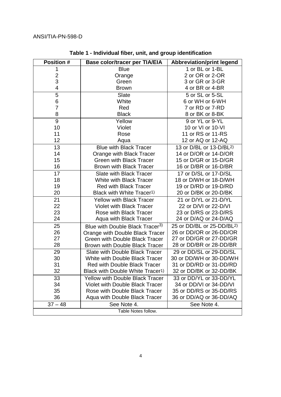<span id="page-13-0"></span>

| <b>Position #</b>        | <b>Base color/tracer per TIA/EIA</b>         | <b>Abbreviation/print legend</b> |  |  |  |  |
|--------------------------|----------------------------------------------|----------------------------------|--|--|--|--|
| <b>Blue</b><br>1         |                                              | 1 or BL or 1-BL                  |  |  |  |  |
| $\overline{c}$           | Orange                                       | 2 or OR or 2-OR                  |  |  |  |  |
| 3                        | Green                                        | 3 or GR or 3-GR                  |  |  |  |  |
| $\overline{\mathcal{A}}$ | <b>Brown</b>                                 | 4 or BR or 4-BR                  |  |  |  |  |
| 5                        | <b>Slate</b>                                 | 5 or SL or 5-SL                  |  |  |  |  |
| 6                        | White                                        | 6 or WH or 6-WH                  |  |  |  |  |
| $\overline{7}$           | Red                                          | 7 or RD or 7-RD                  |  |  |  |  |
| 8                        | <b>Black</b>                                 | 8 or BK or 8-BK                  |  |  |  |  |
| 9                        | Yellow                                       | 9 or YL or 9-YL                  |  |  |  |  |
| 10                       | Violet                                       | 10 or VI or 10-VI                |  |  |  |  |
| 11                       | Rose                                         | 11 or RS or 11-RS                |  |  |  |  |
| 12                       | Aqua                                         | 12 or AQ or 12-AQ                |  |  |  |  |
| 13                       | <b>Blue with Black Tracer</b>                | 13 or D/BL or 13-D/BL2)          |  |  |  |  |
| 14                       | Orange with Black Tracer                     | 14 or D/OR or 14-D/OR            |  |  |  |  |
| 15                       | <b>Green with Black Tracer</b>               | 15 or D/GR or 15-D/GR            |  |  |  |  |
| 16                       | <b>Brown with Black Tracer</b>               | 16 or D/BR or 16-D/BR            |  |  |  |  |
| 17                       | <b>Slate with Black Tracer</b>               | 17 or D/SL or 17-D/SL            |  |  |  |  |
| 18                       | <b>White with Black Tracer</b>               | 18 or D/WH or 18-D/WH            |  |  |  |  |
| 19                       | <b>Red with Black Tracer</b>                 | 19 or D/RD or 19-D/RD            |  |  |  |  |
| 20                       | Black with White Tracer <sup>1)</sup>        | 20 or D/BK or 20-D/BK            |  |  |  |  |
| 21                       | <b>Yellow with Black Tracer</b>              | 21 or D/YL or 21-D/YL            |  |  |  |  |
| 22                       | <b>Violet with Black Tracer</b>              | 22 or D/VI or 22-D/VI            |  |  |  |  |
| 23                       | Rose with Black Tracer                       | 23 or D/RS or 23-D/RS            |  |  |  |  |
| 24                       | Aqua with Black Tracer                       | 24 or D/AQ or 24-D/AQ            |  |  |  |  |
| 25                       | Blue with Double Black Tracer <sup>3)</sup>  | 25 or DD/BL or 25-DD/BL2)        |  |  |  |  |
| 26                       | Orange with Double Black Tracer              | 26 or DD/OR or 26-DD/OR          |  |  |  |  |
| 27                       | <b>Green with Double Black Tracer</b>        | 27 or DD/GR or 27-DD/GR          |  |  |  |  |
| 28                       | Brown with Double Black Tracer               | 28 or DD/BR or 28-DD/BR          |  |  |  |  |
| 29                       | <b>Slate with Double Black Tracer</b>        | 29 or DD/SL or 29-DD/SL          |  |  |  |  |
| 30                       | White with Double Black Tracer               | 30 or DD/WH or 30-DD/WH          |  |  |  |  |
| 31                       | <b>Red with Double Black Tracer</b>          | 31 or DD/RD or 31-DD/RD          |  |  |  |  |
| 32                       | Black with Double White Tracer <sup>1)</sup> | 32 or DD/BK or 32-DD/BK          |  |  |  |  |
| 33                       | <b>Yellow with Double Black Tracer</b>       | 33 or DD/YL or 33-DD/YL          |  |  |  |  |
| 34                       | <b>Violet with Double Black Tracer</b>       | 34 or DD/VI or 34-DD/VI          |  |  |  |  |
| 35                       | Rose with Double Black Tracer                | 35 or DD/RS or 35-DD/RS          |  |  |  |  |
| 36                       | Aqua with Double Black Tracer                | 36 or DD/AQ or 36-DD/AQ          |  |  |  |  |
| $37 - 48$                | See Note 4.                                  | See Note 4.                      |  |  |  |  |
|                          | Table Notes follow.                          |                                  |  |  |  |  |

**Table 1 - Individual fiber, unit, and group identification**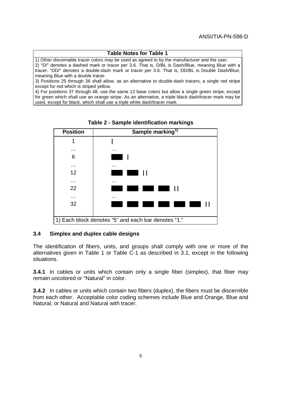#### <span id="page-14-0"></span>**Table Notes for Table 1** 1) Other discernable tracer colors may be used as agreed to by the manufacturer and the user. 2) "D/" denotes a dashed mark or tracer per 3.6. That is, D/BL is Dash/Blue, meaning Blue with a tracer. "DD/" denotes a double-dash mark or tracer per 3.6. That is, DD/BL is Double Dash/Blue, meaning Blue with a double tracer. 3) Positions 25 through 36 shall allow, as an alternative to double-dash tracers, a single red stripe except for red which is striped yellow.

4) For positions 37 through 48, use the same 12 base colors but allow a single green stripe, except for green which shall use an orange stripe. As an alternative, a triple black dash/tracer mark may be used, except for black, which shall use a triple white dash/tracer mark.



**Table 2 - Sample identification markings**

## **3.4 Simplex and duplex cable designs**

The identification of fibers, units, and groups shall comply with one or more of the alternatives given in [Table 1](#page-13-0) or [Table C-1](#page-24-0) as described in [3.1,](#page-12-0) except in the following situations.

**3.4.1** In cables or units which contain only a single fiber (simplex), that fiber may remain uncolored or "Natural" in color.

**3.4.2** In cables or units which contain two fibers (duplex), the fibers must be discernible from each other. Acceptable color coding schemes include Blue and Orange, Blue and Natural, or Natural and Natural with tracer.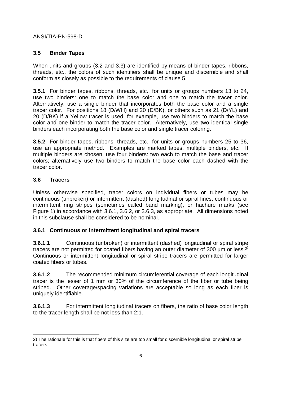## <span id="page-15-0"></span>**3.5 Binder Tapes**

When units and groups [\(3.2 a](#page-12-0)nd [3.3\)](#page-12-0) are identified by means of binder tapes, ribbons, threads, etc., the colors of such identifiers shall be unique and discernible and shall conform as closely as possible to the requirements of [clause 5.](#page-19-0)

**3.5.1** For binder tapes, ribbons, threads, etc., for units or groups numbers 13 to 24, use two binders: one to match the base color and one to match the tracer color. Alternatively, use a single binder that incorporates both the base color and a single tracer color. For positions 18 (D/WH) and 20 (D/BK), or others such as 21 (D/YL) and 20 (D/BK) if a Yellow tracer is used, for example, use two binders to match the base color and one binder to match the tracer color. Alternatively, use two identical single binders each incorporating both the base color and single tracer coloring.

**3.5.2** For binder tapes, ribbons, threads, etc., for units or groups numbers 25 to 36, use an appropriate method. Examples are marked tapes, multiple binders, etc. If multiple binders are chosen, use four binders: two each to match the base and tracer colors; alternatively use two binders to match the base color each dashed with the tracer color.

## **3.6 Tracers**

Unless otherwise specified, tracer colors on individual fibers or tubes may be continuous (unbroken) or intermittent (dashed) longitudinal or spiral lines, continuous or intermittent ring stripes (sometimes called band marking), or hachure marks (see [Figure 1\)](#page-16-0) in accordance with 3.6.1[, 3.6.2,](#page-17-0) or [3.6.3,](#page-17-0) as appropriate. All dimensions noted in this subclause shall be considered to be nominal.

## **3.6.1 Continuous or intermittent longitudinal and spiral tracers**

**3.6.1.1** Continuous (unbroken) or intermittent (dashed) longitudinal or spiral stripe tracers are not permitted for coated fibers having an outer diameter of 300  $\mu$ m or less.<sup>2)</sup> Continuous or intermittent longitudinal or spiral stripe tracers are permitted for larger coated fibers or tubes.

**3.6.1.2** The recommended minimum circumferential coverage of each longitudinal tracer is the lesser of 1 mm or 30% of the circumference of the fiber or tube being striped. Other coverage/spacing variations are acceptable so long as each fiber is uniquely identifiable.

**3.6.1.3** For intermittent longitudinal tracers on fibers, the ratio of base color length to the tracer length shall be not less than 2:1.

<sup>-</sup>2) The rationale for this is that fibers of this size are too small for discernible longitudinal or spiral stripe tracers.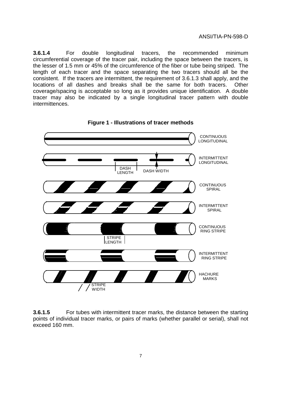<span id="page-16-0"></span>**3.6.1.4** For double longitudinal tracers, the recommended minimum circumferential coverage of the tracer pair, including the space between the tracers, is the lesser of 1.5 mm or 45% of the circumference of the fiber or tube being striped. The length of each tracer and the space separating the two tracers should all be the consistent. If the tracers are intermittent, the requirement of 3.6.1.3 shall apply, and the locations of all dashes and breaks shall be the same for both tracers. Other coverage/spacing is acceptable so long as it provides unique identification. A double tracer may also be indicated by a single longitudinal tracer pattern with double intermittences.



**Figure 1 - Illustrations of tracer methods** 

**3.6.1.5** For tubes with intermittent tracer marks, the distance between the starting points of individual tracer marks, or pairs of marks (whether parallel or serial), shall not exceed 160 mm.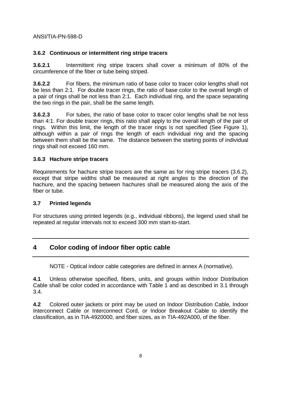## <span id="page-17-0"></span>**3.6.2 Continuous or intermittent ring stripe tracers**

**3.6.2.1** Intermittent ring stripe tracers shall cover a minimum of 80% of the circumference of the fiber or tube being striped.

**3.6.2.2** For fibers, the minimum ratio of base color to tracer color lengths shall not be less than 2:1. For double tracer rings, the ratio of base color to the overall length of a pair of rings shall be not less than 2:1. Each individual ring, and the space separating the two rings in the pair, shall be the same length.

**3.6.2.3** For tubes, the ratio of base color to tracer color lengths shall be not less than 4:1. For double tracer rings, this ratio shall apply to the overall length of the pair of rings. Within this limit, the length of the tracer rings is not specified (See [Figure 1\),](#page-16-0)  although within a pair of rings the length of each individual ring and the spacing between them shall be the same. The distance between the starting points of individual rings shall not exceed 160 mm.

## **3.6.3 Hachure stripe tracers**

Requirements for hachure stripe tracers are the same as for ring stripe tracers (3.6.2), except that stripe widths shall be measured at right angles to the direction of the hachure, and the spacing between hachures shall be measured along the axis of the fiber or tube.

## **3.7 Printed legends**

For structures using printed legends (e.g., individual ribbons), the legend used shall be repeated at regular intervals not to exceed 300 mm start-to-start.

## **4 Color coding of indoor fiber optic cable**

NOTE - Optical indoor cable categories are defined in [annex A \(](#page-22-0)normative).

**4.1** Unless otherwise specified, fibers, units, and groups within Indoor Distribution Cable shall be color coded in accordance with [Table 1 a](#page-13-0)nd as described in [3.1](#page-12-0) through [3.4.](#page-14-0) 

**4.2** Colored outer jackets or print may be used on Indoor Distribution Cable, Indoor Interconnect Cable or Interconnect Cord, or Indoor Breakout Cable to identify the classification, as in TIA-4920000, and fiber sizes, as in TIA-492A000, of the fiber.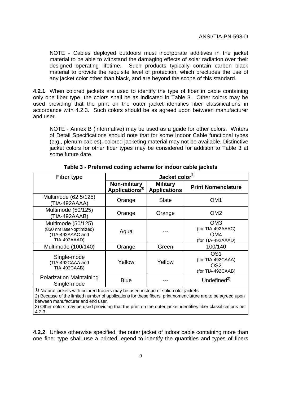<span id="page-18-0"></span>NOTE - Cables deployed outdoors must incorporate additives in the jacket material to be able to withstand the damaging effects of solar radiation over their designed operating lifetime. Such products typically contain carbon black material to provide the requisite level of protection, which precludes the use of any jacket color other than black, and are beyond the scope of this standard.

**4.2.1** When colored jackets are used to identify the type of fiber in cable containing only one fiber type, the colors shall be as indicated in Table 3. Other colors may be used providing that the print on the outer jacket identifies fiber classifications in accordance with [4.2.3.](#page-19-0) Such colors should be as agreed upon between manufacturer and user.

NOTE - [Annex B](#page-23-0) (informative) may be used as a guide for other colors. Writers of Detail Specifications should note that for some Indoor Cable functional types (e.g., plenum cables), colored jacketing material may not be available. Distinctive jacket colors for other fiber types may be considered for addition to Table 3 at some future date.

| <b>Fiber type</b>                                                                  | Jacket color $1$                           |                                        |                                                                              |
|------------------------------------------------------------------------------------|--------------------------------------------|----------------------------------------|------------------------------------------------------------------------------|
|                                                                                    | Non-military<br>Applications <sup>3)</sup> | <b>Military</b><br><b>Applications</b> | <b>Print Nomenclature</b>                                                    |
| Multimode (62.5/125)<br>(TIA-492AAAA)                                              | Orange                                     | Slate                                  | OM <sub>1</sub>                                                              |
| Multimode (50/125)<br>(TIA-492AAAB)                                                | Orange                                     | Orange                                 | OM <sub>2</sub>                                                              |
| Multimode (50/125)<br>(850 nm laser-optimized)<br>(TIA-492AAAC and<br>TIA-492AAAD) | Aqua                                       |                                        | OM <sub>3</sub><br>(for TIA-492AAAC)<br>OM <sub>4</sub><br>(for TIA-492AAAD) |
| Multimode (100/140)                                                                | Orange                                     | Green                                  | 100/140                                                                      |
| Single-mode<br>(TIA-492CAAA and<br>TIA-492CAAB)                                    | Yellow                                     | Yellow                                 | OS <sub>1</sub><br>(for TIA-492CAAA)<br>OS <sub>2</sub><br>(for TIA-492CAAB) |
| <b>Polarization Maintaining</b><br>Single-mode                                     | <b>Blue</b>                                |                                        | Undefined $^{2)}$                                                            |

**Table 3 - Preferred coding scheme for indoor cable jackets** 

1) Natural jackets with colored tracers may be used instead of solid-color jackets.

2) Because of the limited number of applications for these fibers, print nomenclature are to be agreed upon between manufacturer and end user.

3) Other colors may be used providing that the print on the outer jacket identifies fiber classifications per 4.2.3.

**4.2.2** Unless otherwise specified, the outer jacket of indoor cable containing more than one fiber type shall use a printed legend to identify the quantities and types of fibers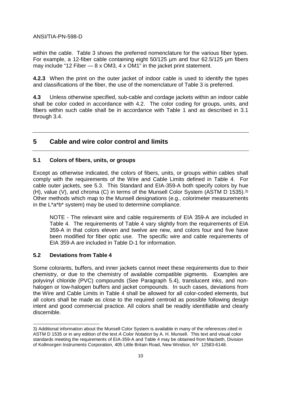<span id="page-19-0"></span>within the cable. [Table 3 s](#page-18-0)hows the preferred nomenclature for the various fiber types. For example, a 12-fiber cable containing eight 50/125 µm and four 62.5/125 µm fibers may include "12 Fiber  $-$  8 x OM3, 4 x OM1" in the jacket print statement.

**4.2.3** When the print on the outer jacket of indoor cable is used to identify the types and classifications of the fiber, the use of the nomenclature of [Table 3 i](#page-18-0)s preferred.

**4.3** Unless otherwise specified, sub-cable and cordage jackets within an indoor cable shall be color coded in accordance with [4.2.](#page-17-0) The color coding for groups, units, and fibers within such cable shall be in accordance with [Table 1](#page-13-0) and as described in [3.1](#page-12-0)  through [3.4.](#page-14-0) 

## **5 Cable and wire color control and limits**

## **5.1 Colors of fibers, units, or groups**

Except as otherwise indicated, the colors of fibers, units, or groups within cables shall comply with the requirements of the Wire and Cable Limits defined in [Table 4.](#page-20-0) For cable outer jackets, se[e 5.3.](#page-20-0) This Standard and EIA-359-A both specify colors by hue (H), value (V), and chroma (C) in terms of the Munsell Color System (ASTM D 1535).3) Other methods which map to the Munsell designations (e.g., colorimeter measurements in the L\*a\*b\* system) may be used to determine compliance.

NOTE - The relevant wire and cable requirements of EIA 359-A are included in [Table 4.](#page-20-0) The requirements of [Table 4 v](#page-20-0)ary slightly from the requirements of EIA 359-A in that colors eleven and twelve are new, and colors four and five have been modified for fiber optic use. The specific wire and cable requirements of EIA 359-A are included in [Table D-1](#page-26-0) for information.

## **5.2 Deviations from Table 4**

-

Some colorants, buffers, and inner jackets cannot meet these requirements due to their chemistry, or due to the chemistry of available compatible pigments. Examples are polyvinyl chloride (PVC) compounds (See Paragraph [5.4\),](#page-20-0) translucent inks, and nonhalogen or low-halogen buffers and jacket compounds. In such cases, deviations from the Wire and Cable Limits i[n Table 4 s](#page-20-0)hall be allowed for all color-coded elements, but all colors shall be made as close to the required centroid as possible following design intent and good commercial practice. All colors shall be readily identifiable and clearly discernible.

<sup>3)</sup> Additional information about the Munsell Color System is available in many of the references cited in ASTM D 1535 or in any edition of the text A Color Notation by A. H. Munsell. This text and visual color standards meeting the requirements of EIA-359-A an[d Table 4 m](#page-20-0)ay be obtained from Macbeth, Division of Kollmorgen Instruments Corporation, 405 Little Britain Road, New Windsor, NY 12583-6148.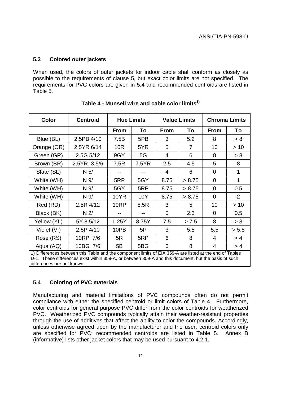## <span id="page-20-0"></span>**5.3 Colored outer jackets**

When used, the colors of outer jackets for indoor cable shall conform as closely as possible to the requirements of [clause 5,](#page-19-0) but exact color limits are not specified. The requirements for PVC colors are given in 5.4 and recommended centroids are listed in [Table 5.](#page-21-0) 

| <b>Color</b>                                                                                                                                                                                                                                 | <b>Centroid</b> | <b>Hue Limits</b> |       | <b>Value Limits</b> |        | <b>Chroma Limits</b> |                |
|----------------------------------------------------------------------------------------------------------------------------------------------------------------------------------------------------------------------------------------------|-----------------|-------------------|-------|---------------------|--------|----------------------|----------------|
|                                                                                                                                                                                                                                              |                 | <b>From</b>       | To    | <b>From</b>         | To     | <b>From</b>          | To             |
| Blue (BL)                                                                                                                                                                                                                                    | 2.5PB 4/10      | 7.5B              | 5PB   | 3                   | 5.2    | 8                    | > 8            |
| Orange (OR)                                                                                                                                                                                                                                  | 2.5YR 6/14      | 10R               | 5YR   | 5                   | 7      | 10                   | > 10           |
| Green (GR)                                                                                                                                                                                                                                   | 2.5G 5/12       | 9GY               | 5G    | $\overline{4}$      | 6      | 8                    | > 8            |
| Brown (BR)                                                                                                                                                                                                                                   | 2.5YR 3.5/6     | 7.5R              | 7.5YR | 2.5                 | 4.5    | 5                    | 8              |
| Slate (SL)                                                                                                                                                                                                                                   | N <sub>5</sub>  |                   |       | 4                   | 6      | 0                    | 1              |
| White (WH)                                                                                                                                                                                                                                   | N 9/            | 5RP               | 5GY   | 8.75                | > 8.75 | 0                    | 1              |
| White (WH)                                                                                                                                                                                                                                   | N 9/            | 5GY               | 5RP   | 8.75                | > 8.75 | 0                    | 0.5            |
| White (WH)                                                                                                                                                                                                                                   | N 9/            | 10YR              | 10Y   | 8.75                | > 8.75 | 0                    | $\overline{2}$ |
| Red (RD)                                                                                                                                                                                                                                     | 2.5R 4/12       | 10RP              | 5.5R  | 3                   | 5      | 10                   | >10            |
| Black (BK)                                                                                                                                                                                                                                   | N <sub>2</sub>  |                   |       | $\Omega$            | 2.3    | 0                    | 0.5            |
| Yellow (YL)                                                                                                                                                                                                                                  | 5Y 8.5/12       | 1.25Y             | 8.75Y | 7.5                 | > 7.5  | 8                    | > 8            |
| Violet (VI)                                                                                                                                                                                                                                  | 2.5P 4/10       | 10PB              | 5P    | 3                   | 5.5    | 5.5                  | > 5.5          |
| Rose (RS)                                                                                                                                                                                                                                    | 10RP 7/6        | 5R                | 5RP   | 6                   | 8      | 4                    | > 4            |
| 8<br>Aqua (AQ)<br>10BG 7/6<br>5B<br>5BG<br>6<br>4<br>>4                                                                                                                                                                                      |                 |                   |       |                     |        |                      |                |
| 1) Differences between this Table and the component limits of EIA 359-A are listed at the end of Tables<br>D-1. These differences exist within 359-A, or between 359-A and this document, but the basis of such<br>differences are not known |                 |                   |       |                     |        |                      |                |

## **Table 4 - Munsell wire and cable color limits1)**

## **5.4 Coloring of PVC materials**

Manufacturing and material limitations of PVC compounds often do not permit compliance with either the specified centroid or limit colors of Table 4. Furthermore, color centroids for general purpose PVC differ from the color centroids for weatherized PVC. Weatherized PVC compounds typically attain their weather-resistant properties through the use of additives that affect the ability to color the compounds. Accordingly, unless otherwise agreed upon by the manufacturer and the user, centroid colors only are specified for PVC; recommended centroids are listed in [Table 5.](#page-21-0) [Annex B](#page-23-0)  (informative) lists other jacket colors that may be used pursuant to [4.2.1.](#page-18-0)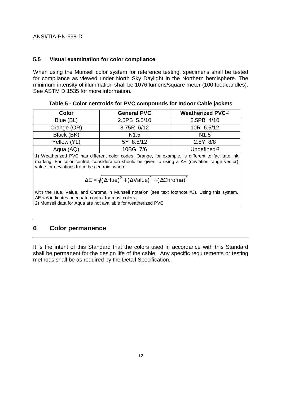## <span id="page-21-0"></span>**5.5 Visual examination for color compliance**

When using the Munsell color system for reference testing, specimens shall be tested for compliance as viewed under North Sky Daylight in the Northern hemisphere. The minimum intensity of illumination shall be 1076 lumens/square meter (100 foot-candles). See ASTM D 1535 for more information.

**Table 5 - Color centroids for PVC compounds for Indoor Cable jackets** 

| <b>Color</b> | <b>General PVC</b> | <b>Weatherized PVC1)</b> |
|--------------|--------------------|--------------------------|
| Blue (BL)    | 2.5PB 5.5/10       | 2.5PB 4/10               |
| Orange (OR)  | 8.75R 6/12         | 10R 6.5/12               |
| Black (BK)   | N <sub>1.5</sub>   | N <sub>1.5</sub>         |
| Yellow (YL)  | 5Y 8.5/12          | 2.5Y 8/8                 |
| Aqua (AQ)    | 10BG 7/6           | Undefined <sup>2)</sup>  |

1) Weatherized PVC has different color codes. Orange, for example, is different to facilitate ink marking. For color control, consideration should be given to using a ∆E (deviation range vector) value for deviations from the centroid, where

$$
\Delta E = \sqrt{(\Delta Hue)^2 + (\Delta Value)^2 + (\Delta Chroma)^2}
$$

with the Hue, Value, and Chroma in Munsell notation (see text footnote #3). Using this system, ∆E < 6 indicates adequate control for most colors.

2) Munsell data for Aqua are not available for weatherized PVC.

## **6 Color permanence**

It is the intent of this Standard that the colors used in accordance with this Standard shall be permanent for the design life of the cable. Any specific requirements or testing methods shall be as required by the Detail Specification.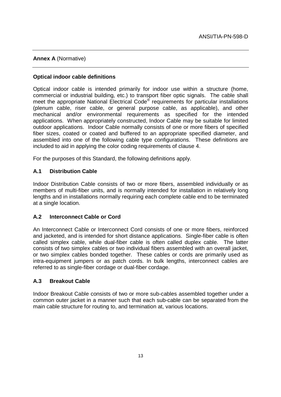## <span id="page-22-0"></span>**Annex A** (Normative)

## **Optical indoor cable definitions**

Optical indoor cable is intended primarily for indoor use within a structure (home, commercial or industrial building, etc.) to transport fiber optic signals. The cable shall meet the appropriate National Electrical Code® requirements for particular installations (plenum cable, riser cable, or general purpose cable, as applicable), and other mechanical and/or environmental requirements as specified for the intended applications. When appropriately constructed, Indoor Cable may be suitable for limited outdoor applications. Indoor Cable normally consists of one or more fibers of specified fiber sizes, coated or coated and buffered to an appropriate specified diameter, and assembled into one of the following cable type configurations. These definitions are included to aid in applying the color coding requirements of [clause 4.](#page-17-0) 

For the purposes of this Standard, the following definitions apply.

## **A.1 Distribution Cable**

Indoor Distribution Cable consists of two or more fibers, assembled individually or as members of multi-fiber units, and is normally intended for installation in relatively long lengths and in installations normally requiring each complete cable end to be terminated at a single location.

## **A.2 Interconnect Cable or Cord**

An Interconnect Cable or Interconnect Cord consists of one or more fibers, reinforced and jacketed, and is intended for short distance applications. Single-fiber cable is often called simplex cable, while dual-fiber cable is often called duplex cable. The latter consists of two simplex cables or two individual fibers assembled with an overall jacket, or two simplex cables bonded together. These cables or cords are primarily used as intra-equipment jumpers or as patch cords. In bulk lengths, interconnect cables are referred to as single-fiber cordage or dual-fiber cordage.

## **A.3 Breakout Cable**

Indoor Breakout Cable consists of two or more sub-cables assembled together under a common outer jacket in a manner such that each sub-cable can be separated from the main cable structure for routing to, and termination at, various locations.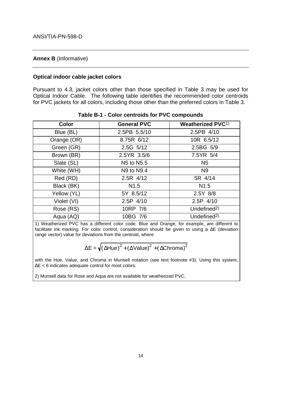#### <span id="page-23-0"></span>**Annex B** (Informative)

#### **Optical indoor cable jacket colors**

Pursuant t[o 4.3,](#page-19-0) jacket colors other than those specified in Table 3 may be used for Optical Indoor Cable. The following table identifies the recommended color centroids for PVC jackets for all colors, including those other than the preferred colors i[n Table 3.](#page-18-0) 

| <b>Color</b> | <b>General PVC</b>                 | Weatherized PVC <sup>1)</sup> |
|--------------|------------------------------------|-------------------------------|
| Blue (BL)    | 2.5PB 5.5/10                       | 2.5PB 4/10                    |
| Orange (OR)  | 8.75R 6/12                         | 10R 6.5/12                    |
| Green (GR)   | 2.5G 5/12                          | 2.5BG 5/9                     |
| Brown (BR)   | 2.5YR 3.5/6                        | 7.5YR 5/4                     |
| Slate (SL)   | N <sub>5</sub> to N <sub>5.5</sub> | N <sub>5</sub>                |
| White (WH)   | N9 to N9.4                         | N <sub>9</sub>                |
| Red (RD)     | 2.5R 4/12                          | 5R 4/14                       |
| Black (BK)   | N <sub>1.5</sub>                   | N <sub>1.5</sub>              |
| Yellow (YL)  | 5Y 8.5/12                          | 2.5Y 8/8                      |
| Violet (VI)  | 2.5P 4/10                          | 2.5P 4/10                     |
| Rose (RS)    | 10RP 7/6                           | Undefined $^{2)}$             |
| Aqua (AQ)    | 10BG 7/6                           | Undefined <sup>2)</sup>       |

#### **Table B-1 - Color centroids for PVC compounds**

1) Weatherized PVC has a different color code. Blue and Orange, for example, are different to facilitate ink marking. For color control, consideration should be given to using a ∆E (deviation range vector) value for deviations from the centroid, where

$$
\Delta E = \sqrt{(\Delta Hue)^2 + (\Delta Value)^2 + (\Delta Chroma)^2}
$$

with the Hue, Value, and Chroma in Munsell notation (see text footnote #3). Using this system, ∆E < 6 indicates adequate control for most colors.

2) Munsell data for Rose and Aqua are not available for weatherized PVC.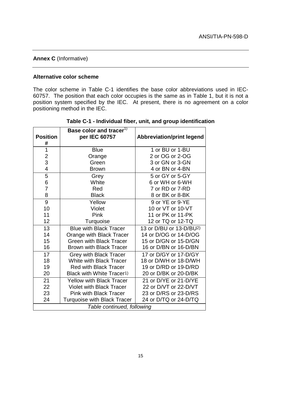## <span id="page-24-0"></span>**Annex C** (Informative)

#### **Alternative color scheme**

The color scheme in Table C-1 identifies the base color abbreviations used in IEC-60757. The position that each color occupies is the same as in [Table 1, b](#page-13-0)ut it is not a position system specified by the IEC. At present, there is no agreement on a color positioning method in the IEC.

|                            | Base color and tracer <sup>1)</sup>   |                                  |  |  |
|----------------------------|---------------------------------------|----------------------------------|--|--|
| <b>Position</b>            | per IEC 60757                         | <b>Abbreviation/print legend</b> |  |  |
| #                          |                                       |                                  |  |  |
| 1                          | <b>Blue</b>                           | 1 or BU or 1-BU                  |  |  |
| $\frac{2}{3}$              | Orange                                | 2 or OG or 2-OG                  |  |  |
|                            | Green                                 | 3 or GN or 3-GN                  |  |  |
| $\overline{\mathbf{4}}$    | <b>Brown</b>                          | 4 or BN or 4-BN                  |  |  |
| 5                          | Grey                                  | 5 or GY or 5-GY                  |  |  |
| 6                          | White                                 | 6 or WH or 6-WH                  |  |  |
| $\overline{7}$             | Red                                   | 7 or RD or 7-RD                  |  |  |
| 8                          | <b>Black</b>                          | 8 or BK or 8-BK                  |  |  |
| 9                          | Yellow                                | 9 or YE or 9-YE                  |  |  |
| 10                         | Violet                                | 10 or VT or 10-VT                |  |  |
| 11<br>Pink                 |                                       | 11 or PK or 11-PK                |  |  |
| 12<br>Turquoise            |                                       | 12 or TQ or 12-TQ                |  |  |
| 13                         | <b>Blue with Black Tracer</b>         | 13 or D/BU or 13-D/BU2)          |  |  |
| 14                         | Orange with Black Tracer              | 14 or D/OG or 14-D/OG            |  |  |
| 15                         | <b>Green with Black Tracer</b>        | 15 or D/GN or 15-D/GN            |  |  |
| 16                         | <b>Brown with Black Tracer</b>        | 16 or D/BN or 16-D/BN            |  |  |
| 17                         | <b>Grey with Black Tracer</b>         | 17 or D/GY or 17-D/GY            |  |  |
| 18                         | <b>White with Black Tracer</b>        | 18 or D/WH or 18-D/WH            |  |  |
| 19                         | <b>Red with Black Tracer</b>          | 19 or D/RD or 19-D/RD            |  |  |
| 20                         | Black with White Tracer <sup>1)</sup> | 20 or D/BK or 20-D/BK            |  |  |
| 21                         | <b>Yellow with Black Tracer</b>       | 21 or D/YE or 21-D/YE            |  |  |
| 22                         | <b>Violet with Black Tracer</b>       | 22 or D/VT or 22-D/VT            |  |  |
| 23                         | Pink with Black Tracer                | 23 or D/RS or 23-D/RS            |  |  |
| 24                         | <b>Turquoise with Black Tracer</b>    | 24 or D/TQ or 24-D/TQ            |  |  |
| Table continued, following |                                       |                                  |  |  |

**Table C-1 - Individual fiber, unit, and group identification**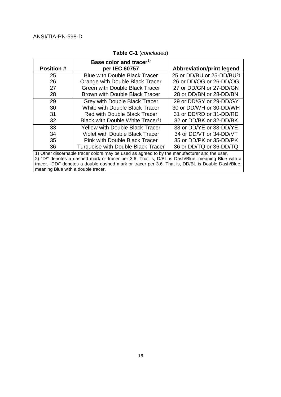|                                                                                                   | Base color and tracer <sup>1)</sup>          |                                  |  |  |  |  |
|---------------------------------------------------------------------------------------------------|----------------------------------------------|----------------------------------|--|--|--|--|
| per IEC 60757<br><b>Position #</b>                                                                |                                              | <b>Abbreviation/print legend</b> |  |  |  |  |
| 25                                                                                                | <b>Blue with Double Black Tracer</b>         | 25 or DD/BU or 25-DD/BU2)        |  |  |  |  |
| 26                                                                                                | Orange with Double Black Tracer              | 26 or DD/OG or 26-DD/OG          |  |  |  |  |
| 27                                                                                                | <b>Green with Double Black Tracer</b>        | 27 or DD/GN or 27-DD/GN          |  |  |  |  |
| 28                                                                                                | Brown with Double Black Tracer               | 28 or DD/BN or 28-DD/BN          |  |  |  |  |
| 29                                                                                                | Grey with Double Black Tracer                | 29 or DD/GY or 29-DD/GY          |  |  |  |  |
| 30                                                                                                | <b>White with Double Black Tracer</b>        | 30 or DD/WH or 30-DD/WH          |  |  |  |  |
| 31                                                                                                | <b>Red with Double Black Tracer</b>          | 31 or DD/RD or 31-DD/RD          |  |  |  |  |
| 32                                                                                                | Black with Double White Tracer <sup>1)</sup> | 32 or DD/BK or 32-DD/BK          |  |  |  |  |
| 33                                                                                                | <b>Yellow with Double Black Tracer</b>       | 33 or DD/YE or 33-DD/YE          |  |  |  |  |
| 34                                                                                                | <b>Violet with Double Black Tracer</b>       | 34 or DD/VT or 34-DD/VT          |  |  |  |  |
| 35                                                                                                | <b>Pink with Double Black Tracer</b>         | 35 or DD/PK or 35-DD/PK          |  |  |  |  |
| 36                                                                                                | <b>Turquoise with Double Black Tracer</b>    | 36 or DD/TQ or 36-DD/TQ          |  |  |  |  |
| 1) Other discernable tracer colors may be used as agreed to by the manufacturer and the user.     |                                              |                                  |  |  |  |  |
| 2) "D/" denotes a dashed mark or tracer per 3.6. That is, D/BL is Dash/Blue, meaning Blue with a  |                                              |                                  |  |  |  |  |
| tracer. "DD/" denotes a double dashed mark or tracer per 3.6. That is, DD/BL is Double Dash/Blue, |                                              |                                  |  |  |  |  |
| meaning Blue with a double tracer.                                                                |                                              |                                  |  |  |  |  |

## **Table C-1** (concluded)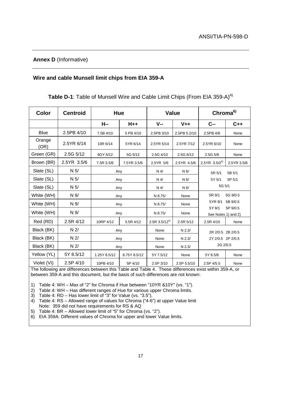## <span id="page-26-0"></span>**Annex D** (Informative)

## **Wire and cable Munsell limit chips from EIA 359-A**

| <b>Color</b>   | <b>Centroid</b> | Hue          |              | <b>Value</b>      |                | Chroma <sup>6)</sup>          |             |
|----------------|-----------------|--------------|--------------|-------------------|----------------|-------------------------------|-------------|
|                |                 | <b>H</b> --  | <b>H++</b>   | $V -$             | $V++$          | $C-$                          | $C++$       |
| <b>Blue</b>    | 2.5PB 4/10      | 7.5B 4/10    | 5 PB 4/10    | 2.5PB 3/10        | 2.5PB 5.2/10   | 2.5PB 4/8                     | None        |
| Orange<br>(OR) | 2.5YR 6/14      | 10R 6/14     | 5YR 6/14     | 2.5YR 5/14        | 2.5YR 7/12     | 2.5YR 6/10                    | None        |
| Green (GR)     | 2.5G 5/12       | 9GY 5/12     | 5G 5/12      | 2.5G 4/10         | 2.5G 6/12      | 2.5G 5/8                      | None        |
| Brown (BR)     | 2.5YR 3.5/6     | 7.5R 3.5/6   | 7.5YR 3.5/6  | 2.5YR 5/6         | 2.5YR 4.5/6    | 2.5YR 3.5/2 <sup>5)</sup>     | 2.5YR 3.5/8 |
| Slate (SL)     | N <sub>5</sub>  | Any          |              | $N$ 4/            | $N$ 6/         | 5R 5/1                        | 5B 5/1      |
| Slate (SL)     | N <sub>5</sub>  | Any          |              | N <sub>4</sub>    | N <sub>6</sub> | 5Y 5/1                        | 5P 5/1      |
| Slate (SL)     | N <sub>5</sub>  | Any          |              | $N$ 4/            | N <sub>6</sub> | 5G 5/1                        |             |
| White (WH)     | N 9/            | Any          |              | N 8.75/           | None           | 5R 9/1                        | 5G 9/0.5    |
| White (WH)     | N 9/            | Any          |              | N 8.75/           | None           | 5YR 9/1                       | 5B 9/0.5    |
| White (WH)     | N 9/            | Any          |              | N 8.75/           | None           | 5Y 9/1<br>See Notes 1) and 2) | 5P 9/0.5    |
| Red (RD)       | 2.5R 4/12       | 10RP 4/12    | 5.5R 4/12    | 2.5R $3.5/12^{3}$ | 2.5R 5/12      | 2.5R 4/10                     | None        |
| Black (BK)     | N <sub>2</sub>  |              | Any          |                   | $N$ 2.3/       | 2R 2/0.5 2B 2/0.5             |             |
| Black (BK)     | N <sub>2</sub>  | Any          |              | None              | N 2.3/         | 2Y 2/0.5 2P 2/0.5             |             |
| Black (BK)     | N <sub>2</sub>  | Any          |              | None              | $N$ 2.3/       | 2G 2/0.5                      |             |
| Yellow (YL)    | 5Y 8.5/12       | 1.25Y 8.5/12 | 8.75Y 8.5/12 | 5Y 7.5/12         | None           | 5Y 8.5/8                      | None        |
| Violet (VI)    | 2.5P 4/10       | 10PB 4/10    | 5P 4/10      | 2.5P 3/10         | 2.5P 5.5/10    | 2.5P 4/5.5                    | None        |

## **Table D-1**: Table of Munsell Wire and Cable Limit Chips (From EIA 359-A)<sup>4)</sup>

The following are differences between this Table and [Table 4.](#page-20-0) These differences exist within 359-A, or between 359-A and this document, but the basis of such differences are not known:

1) [Table 4:](#page-20-0) WH – Max of "2" for Chroma if Hue between "10YR &10Y" (vs. "1").

2) Table 4: WH – Has different ranges of Hue for various upper Chroma limits.

3) Table 4: RD – Has lower limit of "3" for Value (vs. "3.5").

4) Table 4: RS – Allowed range of values for Chroma ("4-6") at upper Value limit Note: 359 did not have requirements for RS & AQ

5) [Table 4: B](#page-20-0)R – Allowed lower limit of "5" for Chroma (vs. "2").

6) EIA 359A: Different values of Chroma for upper and lower Value limits.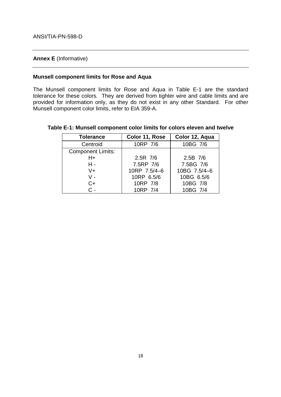#### <span id="page-27-0"></span>**Annex E** (Informative)

#### **Munsell component limits for Rose and Aqua**

The Munsell component limits for Rose and Aqua in Table E-1 are the standard tolerance for these colors. They are derived from tighter wire and cable limits and are provided for information only, as they do not exist in any other Standard. For other Munsell component color limits, refer to EIA 359-A.

| <b>Tolerance</b>         | Color 11, Rose | Color 12, Aqua |
|--------------------------|----------------|----------------|
| Centroid                 | 10RP 7/6       | 10BG 7/6       |
| <b>Component Limits:</b> |                |                |
| H+                       | 2.5R 7/6       | $2.5B$ $7/6$   |
| н.                       | 7.5RP 7/6      | 7.5BG 7/6      |
| V+                       | 10RP 7.5/4-6   | 10BG 7.5/4-6   |
| v -                      | 10RP 6.5/6     | 10BG 6.5/6     |
| $C+$                     | 10RP 7/8       | 10BG 7/8       |
| င. -                     | 10RP 7/4       | 10BG 7/4       |

#### **Table E-1: Munsell component color limits for colors eleven and twelve**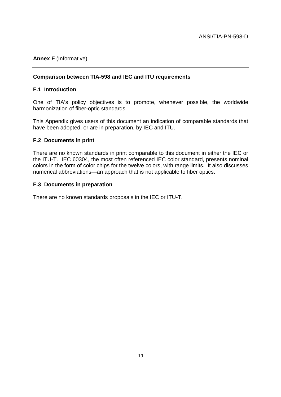<span id="page-28-0"></span>**Annex F** (Informative)

## **Comparison between TIA-598 and IEC and ITU requirements**

## **F.1 Introduction**

One of TIA's policy objectives is to promote, whenever possible, the worldwide harmonization of fiber-optic standards.

This Appendix gives users of this document an indication of comparable standards that have been adopted, or are in preparation, by IEC and ITU.

## **F.2 Documents in print**

There are no known standards in print comparable to this document in either the IEC or the ITU-T. IEC 60304, the most often referenced IEC color standard, presents nominal colors in the form of color chips for the twelve colors, with range limits. It also discusses numerical abbreviations—an approach that is not applicable to fiber optics.

## **F.3 Documents in preparation**

There are no known standards proposals in the IEC or ITU-T.